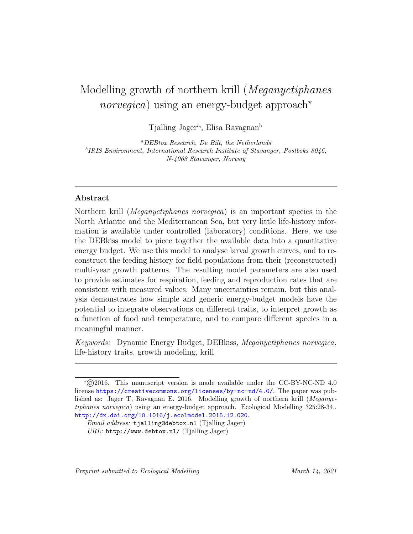# Modelling growth of northern krill (Meganyctiphanes *norvegica*) using an energy-budget approach<sup>\*</sup>

Tialling Jager<sup>a</sup>, Elisa Ravagnan<sup>b</sup>

<sup>a</sup>DEBtox Research, De Bilt, the Netherlands <sup>b</sup>IRIS Environment, International Research Institute of Stavanger, Postboks 8046, N-4068 Stavanger, Norway

# Abstract

Northern krill (Meganyctiphanes norvegica) is an important species in the North Atlantic and the Mediterranean Sea, but very little life-history information is available under controlled (laboratory) conditions. Here, we use the DEBkiss model to piece together the available data into a quantitative energy budget. We use this model to analyse larval growth curves, and to reconstruct the feeding history for field populations from their (reconstructed) multi-year growth patterns. The resulting model parameters are also used to provide estimates for respiration, feeding and reproduction rates that are consistent with measured values. Many uncertainties remain, but this analysis demonstrates how simple and generic energy-budget models have the potential to integrate observations on different traits, to interpret growth as a function of food and temperature, and to compare different species in a meaningful manner.

Keywords: Dynamic Energy Budget, DEBkiss, Meganyctiphanes norvegica, life-history traits, growth modeling, krill

Preprint submitted to Ecological Modelling March 14, 2021

 $\star$  C(2016. This manuscript version is made available under the CC-BY-NC-ND 4.0 license <https://creativecommons.org/licenses/by-nc-nd/4.0/>. The paper was published as: Jager T, Ravagnan E. 2016. Modelling growth of northern krill (Meganyctiphanes norvegica) using an energy-budget approach. Ecological Modelling 325:28-34.. <http://dx.doi.org/10.1016/j.ecolmodel.2015.12.020>.

Email address: tjalling@debtox.nl (Tjalling Jager) URL: http://www.debtox.nl/ (Tjalling Jager)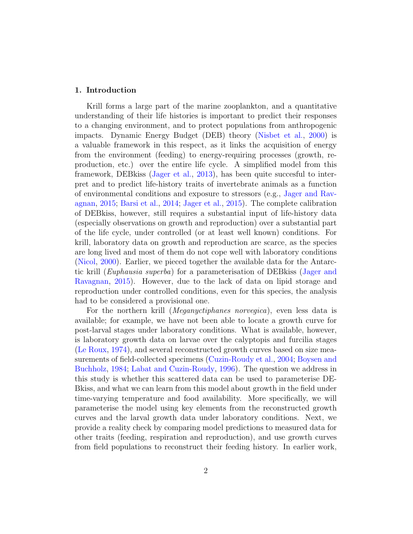## 1. Introduction

Krill forms a large part of the marine zooplankton, and a quantitative understanding of their life histories is important to predict their responses to a changing environment, and to protect populations from anthropogenic impacts. Dynamic Energy Budget (DEB) theory [\(Nisbet et al.,](#page-21-0) [2000\)](#page-21-0) is a valuable framework in this respect, as it links the acquisition of energy from the environment (feeding) to energy-requiring processes (growth, reproduction, etc.) over the entire life cycle. A simplified model from this framework, DEBkiss [\(Jager et al.,](#page-20-0) [2013\)](#page-20-0), has been quite succesful to interpret and to predict life-history traits of invertebrate animals as a function of environmental conditions and exposure to stressors (e.g., [Jager and Rav](#page-20-1)[agnan,](#page-20-1) [2015;](#page-20-1) [Barsi et al.,](#page-18-0) [2014;](#page-18-0) [Jager et al.,](#page-20-2) [2015\)](#page-20-2). The complete calibration of DEBkiss, however, still requires a substantial input of life-history data (especially observations on growth and reproduction) over a substantial part of the life cycle, under controlled (or at least well known) conditions. For krill, laboratory data on growth and reproduction are scarce, as the species are long lived and most of them do not cope well with laboratory conditions [\(Nicol,](#page-20-3) [2000\)](#page-20-3). Earlier, we pieced together the available data for the Antarctic krill (Euphausia superba) for a parameterisation of DEBkiss [\(Jager and](#page-20-1) [Ravagnan,](#page-20-1) [2015\)](#page-20-1). However, due to the lack of data on lipid storage and reproduction under controlled conditions, even for this species, the analysis had to be considered a provisional one.

For the northern krill (Meganyctiphanes norvegica), even less data is available; for example, we have not been able to locate a growth curve for post-larval stages under laboratory conditions. What is available, however, is laboratory growth data on larvae over the calyptopis and furcilia stages [\(Le Roux,](#page-20-4) [1974\)](#page-20-4), and several reconstructed growth curves based on size measurements of field-collected specimens [\(Cuzin-Roudy et al.,](#page-19-0) [2004;](#page-19-0) [Boysen and](#page-18-1) [Buchholz,](#page-18-1) [1984;](#page-18-1) [Labat and Cuzin-Roudy,](#page-20-5) [1996\)](#page-20-5). The question we address in this study is whether this scattered data can be used to parameterise DE-Bkiss, and what we can learn from this model about growth in the field under time-varying temperature and food availability. More specifically, we will parameterise the model using key elements from the reconstructed growth curves and the larval growth data under laboratory conditions. Next, we provide a reality check by comparing model predictions to measured data for other traits (feeding, respiration and reproduction), and use growth curves from field populations to reconstruct their feeding history. In earlier work,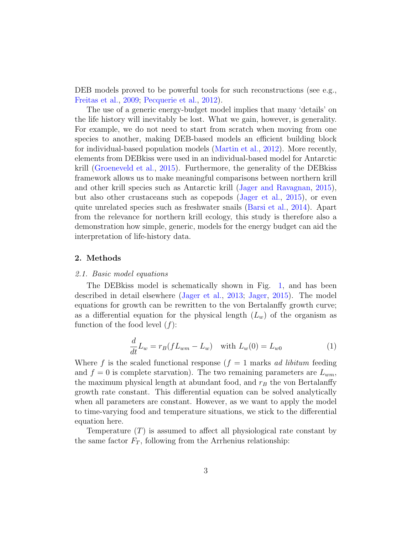DEB models proved to be powerful tools for such reconstructions (see e.g., [Freitas et al.,](#page-19-1) [2009;](#page-19-1) [Pecquerie et al.,](#page-21-1) [2012\)](#page-21-1).

The use of a generic energy-budget model implies that many 'details' on the life history will inevitably be lost. What we gain, however, is generality. For example, we do not need to start from scratch when moving from one species to another, making DEB-based models an efficient building block for individual-based population models [\(Martin et al.,](#page-20-6) [2012\)](#page-20-6). More recently, elements from DEBkiss were used in an individual-based model for Antarctic krill [\(Groeneveld et al.,](#page-19-2) [2015\)](#page-19-2). Furthermore, the generality of the DEBkiss framework allows us to make meaningful comparisons between northern krill and other krill species such as Antarctic krill [\(Jager and Ravagnan,](#page-20-1) [2015\)](#page-20-1), but also other crustaceans such as copepods [\(Jager et al.,](#page-20-2) [2015\)](#page-20-2), or even quite unrelated species such as freshwater snails [\(Barsi et al.,](#page-18-0) [2014\)](#page-18-0). Apart from the relevance for northern krill ecology, this study is therefore also a demonstration how simple, generic, models for the energy budget can aid the interpretation of life-history data.

## 2. Methods

# 2.1. Basic model equations

The DEBkiss model is schematically shown in Fig. [1,](#page-3-0) and has been described in detail elsewhere [\(Jager et al.,](#page-20-0) [2013;](#page-20-0) [Jager,](#page-20-7) [2015\)](#page-20-7). The model equations for growth can be rewritten to the von Bertalanffy growth curve; as a differential equation for the physical length  $(L_w)$  of the organism as function of the food level  $(f)$ :

<span id="page-2-0"></span>
$$
\frac{d}{dt}L_w = r_B(fL_{wm} - L_w) \text{ with } L_w(0) = L_{w0}
$$
 (1)

Where f is the scaled functional response  $(f = 1 \text{ marks } ad \text{ libitum}$  feeding and  $f = 0$  is complete starvation). The two remaining parameters are  $L_{wm}$ , the maximum physical length at abundant food, and  $r_B$  the von Bertalanffy growth rate constant. This differential equation can be solved analytically when all parameters are constant. However, as we want to apply the model to time-varying food and temperature situations, we stick to the differential equation here.

Temperature  $(T)$  is assumed to affect all physiological rate constant by the same factor  $F_T$ , following from the Arrhenius relationship: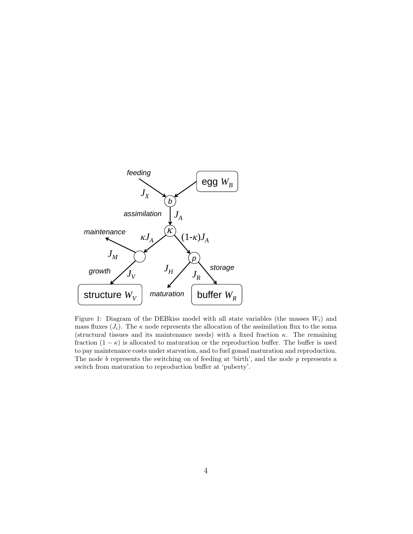

<span id="page-3-0"></span>Figure 1: Diagram of the DEBkiss model with all state variables (the masses  $W_i$ ) and mass fluxes  $(J_i)$ . The  $\kappa$  node represents the allocation of the assimilation flux to the soma (structural tissues and its maintenance needs) with a fixed fraction  $\kappa$ . The remaining fraction  $(1 - \kappa)$  is allocated to maturation or the reproduction buffer. The buffer is used to pay maintenance costs under starvation, and to fuel gonad maturation and reproduction. The node  $b$  represents the switching on of feeding at 'birth', and the node  $p$  represents a switch from maturation to reproduction buffer at 'puberty'.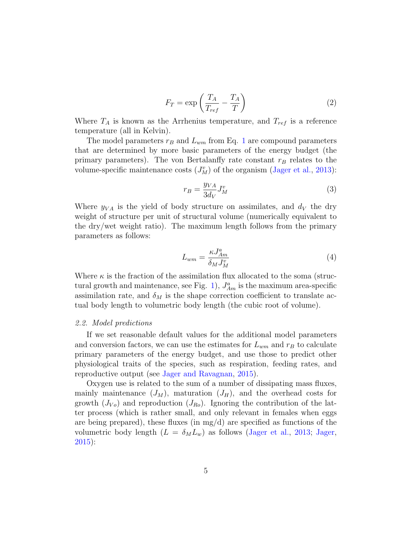<span id="page-4-0"></span>
$$
F_T = \exp\left(\frac{T_A}{T_{ref}} - \frac{T_A}{T}\right) \tag{2}
$$

Where  $T_A$  is known as the Arrhenius temperature, and  $T_{ref}$  is a reference temperature (all in Kelvin).

The model parameters  $r_B$  and  $L_{wm}$  from Eq. [1](#page-2-0) are compound parameters that are determined by more basic parameters of the energy budget (the primary parameters). The von Bertalanffy rate constant  $r_B$  relates to the volume-specific maintenance costs  $(J_M^v)$  of the organism [\(Jager et al.,](#page-20-0) [2013\)](#page-20-0):

<span id="page-4-1"></span>
$$
r_B = \frac{y_{VA}}{3d_V} J_M^v \tag{3}
$$

Where  $y_{VA}$  is the yield of body structure on assimilates, and  $d_V$  the dry weight of structure per unit of structural volume (numerically equivalent to the dry/wet weight ratio). The maximum length follows from the primary parameters as follows:

<span id="page-4-2"></span>
$$
L_{wm} = \frac{\kappa J_{Am}^a}{\delta_M J_M^v} \tag{4}
$$

Where  $\kappa$  is the fraction of the assimilation flux allocated to the soma (struc-tural growth and maintenance, see Fig. [1\)](#page-3-0),  $J_{Am}^a$  is the maximum area-specific assimilation rate, and  $\delta_M$  is the shape correction coefficient to translate actual body length to volumetric body length (the cubic root of volume).

#### 2.2. Model predictions

If we set reasonable default values for the additional model parameters and conversion factors, we can use the estimates for  $L_{wm}$  and  $r_B$  to calculate primary parameters of the energy budget, and use those to predict other physiological traits of the species, such as respiration, feeding rates, and reproductive output (see [Jager and Ravagnan,](#page-20-1) [2015\)](#page-20-1).

Oxygen use is related to the sum of a number of dissipating mass fluxes, mainly maintenance  $(J_M)$ , maturation  $(J_H)$ , and the overhead costs for growth  $(J_{V_o})$  and reproduction  $(J_{Ro})$ . Ignoring the contribution of the latter process (which is rather small, and only relevant in females when eggs are being prepared), these fluxes (in  $mg/d$ ) are specified as functions of the volumetric body length  $(L = \delta_M L_w)$  as follows [\(Jager et al.,](#page-20-0) [2013;](#page-20-0) [Jager,](#page-20-7) [2015\)](#page-20-7):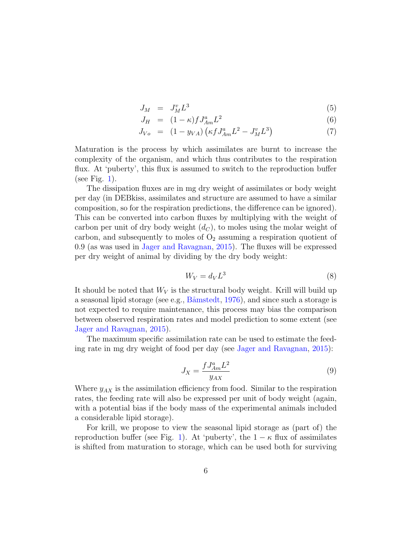<span id="page-5-1"></span>
$$
J_M = J_M^v L^3 \tag{5}
$$

$$
J_H = (1 - \kappa) f J_{Am}^a L^2 \tag{6}
$$

$$
J_{Vo} = (1 - y_{VA}) \left( \kappa f J_{Am}^a L^2 - J_M^v L^3 \right) \tag{7}
$$

Maturation is the process by which assimilates are burnt to increase the complexity of the organism, and which thus contributes to the respiration flux. At 'puberty', this flux is assumed to switch to the reproduction buffer (see Fig. [1\)](#page-3-0).

The dissipation fluxes are in mg dry weight of assimilates or body weight per day (in DEBkiss, assimilates and structure are assumed to have a similar composition, so for the respiration predictions, the difference can be ignored). This can be converted into carbon fluxes by multiplying with the weight of carbon per unit of dry body weight  $(d_C)$ , to moles using the molar weight of carbon, and subsequently to moles of  $O_2$  assuming a respiration quotient of 0.9 (as was used in [Jager and Ravagnan,](#page-20-1) [2015\)](#page-20-1). The fluxes will be expressed per dry weight of animal by dividing by the dry body weight:

<span id="page-5-0"></span>
$$
W_V = d_V L^3 \tag{8}
$$

It should be noted that  $W_V$  is the structural body weight. Krill will build up a seasonal lipid storage (see e.g.,  $B\ddot{\text{a}}$  mstedt, [1976\)](#page-18-2), and since such a storage is not expected to require maintenance, this process may bias the comparison between observed respiration rates and model prediction to some extent (see [Jager and Ravagnan,](#page-20-1) [2015\)](#page-20-1).

The maximum specific assimilation rate can be used to estimate the feeding rate in mg dry weight of food per day (see [Jager and Ravagnan,](#page-20-1) [2015\)](#page-20-1):

<span id="page-5-2"></span>
$$
J_X = \frac{f J_{Am}^a L^2}{y_{AX}}\tag{9}
$$

Where  $y_{AX}$  is the assimilation efficiency from food. Similar to the respiration rates, the feeding rate will also be expressed per unit of body weight (again, with a potential bias if the body mass of the experimental animals included a considerable lipid storage).

For krill, we propose to view the seasonal lipid storage as (part of) the reproduction buffer (see Fig. [1\)](#page-3-0). At 'puberty', the  $1 - \kappa$  flux of assimilates is shifted from maturation to storage, which can be used both for surviving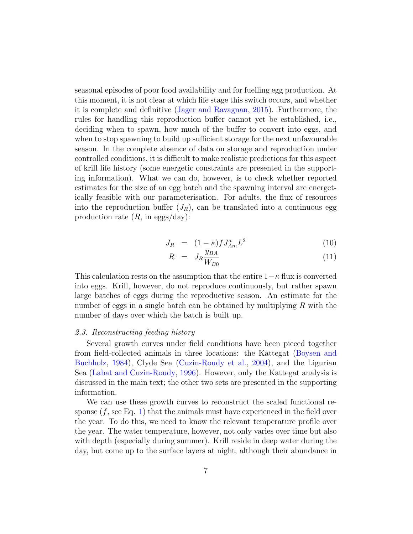seasonal episodes of poor food availability and for fuelling egg production. At this moment, it is not clear at which life stage this switch occurs, and whether it is complete and definitive [\(Jager and Ravagnan,](#page-20-1) [2015\)](#page-20-1). Furthermore, the rules for handling this reproduction buffer cannot yet be established, i.e., deciding when to spawn, how much of the buffer to convert into eggs, and when to stop spawning to build up sufficient storage for the next unfavourable season. In the complete absence of data on storage and reproduction under controlled conditions, it is difficult to make realistic predictions for this aspect of krill life history (some energetic constraints are presented in the supporting information). What we can do, however, is to check whether reported estimates for the size of an egg batch and the spawning interval are energetically feasible with our parameterisation. For adults, the flux of resources into the reproduction buffer  $(J_R)$ , can be translated into a continuous egg production rate  $(R, \text{ in eggs/day})$ :

<span id="page-6-0"></span>
$$
J_R = (1 - \kappa) f J_{Am}^a L^2 \tag{10}
$$

$$
R = J_R \frac{y_{BA}}{W_{B0}} \tag{11}
$$

This calculation rests on the assumption that the entire  $1-\kappa$  flux is converted into eggs. Krill, however, do not reproduce continuously, but rather spawn large batches of eggs during the reproductive season. An estimate for the number of eggs in a single batch can be obtained by multiplying  $R$  with the number of days over which the batch is built up.

#### 2.3. Reconstructing feeding history

Several growth curves under field conditions have been pieced together from field-collected animals in three locations: the Kattegat [\(Boysen and](#page-18-1) [Buchholz,](#page-18-1) [1984\)](#page-18-1), Clyde Sea [\(Cuzin-Roudy et al.,](#page-19-0) [2004\)](#page-19-0), and the Ligurian Sea [\(Labat and Cuzin-Roudy,](#page-20-5) [1996\)](#page-20-5). However, only the Kattegat analysis is discussed in the main text; the other two sets are presented in the supporting information.

We can use these growth curves to reconstruct the scaled functional response  $(f, \text{see Eq. 1})$  that the animals must have experienced in the field over the year. To do this, we need to know the relevant temperature profile over the year. The water temperature, however, not only varies over time but also with depth (especially during summer). Krill reside in deep water during the day, but come up to the surface layers at night, although their abundance in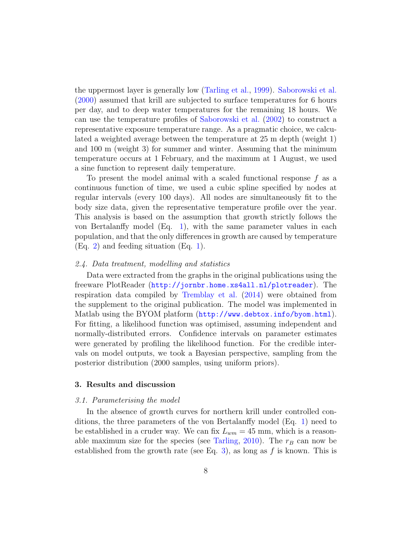the uppermost layer is generally low [\(Tarling et al.,](#page-21-2) [1999\)](#page-21-2). [Saborowski et al.](#page-21-3) [\(2000\)](#page-21-3) assumed that krill are subjected to surface temperatures for 6 hours per day, and to deep water temperatures for the remaining 18 hours. We can use the temperature profiles of [Saborowski et al.](#page-21-4) [\(2002\)](#page-21-4) to construct a representative exposure temperature range. As a pragmatic choice, we calculated a weighted average between the temperature at 25 m depth (weight 1) and 100 m (weight 3) for summer and winter. Assuming that the minimum temperature occurs at 1 February, and the maximum at 1 August, we used a sine function to represent daily temperature.

To present the model animal with a scaled functional response  $f$  as a continuous function of time, we used a cubic spline specified by nodes at regular intervals (every 100 days). All nodes are simultaneously fit to the body size data, given the representative temperature profile over the year. This analysis is based on the assumption that growth strictly follows the von Bertalanffy model (Eq. [1\)](#page-2-0), with the same parameter values in each population, and that the only differences in growth are caused by temperature (Eq. [2\)](#page-4-0) and feeding situation (Eq. [1\)](#page-2-0).

# 2.4. Data treatment, modelling and statistics

Data were extracted from the graphs in the original publications using the freeware PlotReader (<http://jornbr.home.xs4all.nl/plotreader>). The respiration data compiled by [Tremblay et al.](#page-21-5) [\(2014\)](#page-21-5) were obtained from the supplement to the original publication. The model was implemented in Matlab using the BYOM platform (<http://www.debtox.info/byom.html>). For fitting, a likelihood function was optimised, assuming independent and normally-distributed errors. Confidence intervals on parameter estimates were generated by profiling the likelihood function. For the credible intervals on model outputs, we took a Bayesian perspective, sampling from the posterior distribution (2000 samples, using uniform priors).

# 3. Results and discussion

#### 3.1. Parameterising the model

In the absence of growth curves for northern krill under controlled conditions, the three parameters of the von Bertalanffy model (Eq. [1\)](#page-2-0) need to be established in a cruder way. We can fix  $L_{wm} = 45$  mm, which is a reason-able maximum size for the species (see [Tarling,](#page-21-6) [2010\)](#page-21-6). The  $r_B$  can now be established from the growth rate (see Eq. [3\)](#page-4-1), as long as f is known. This is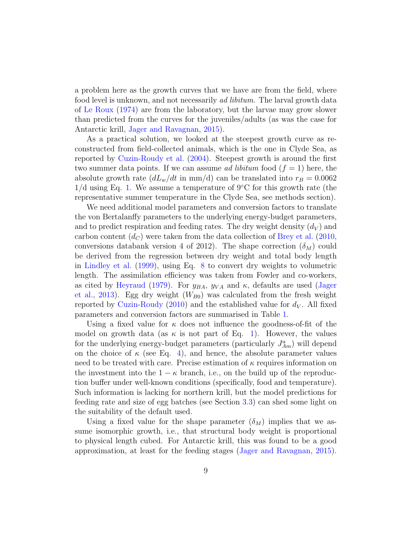a problem here as the growth curves that we have are from the field, where food level is unknown, and not necessarily *ad libitum*. The larval growth data of [Le Roux](#page-20-4) [\(1974\)](#page-20-4) are from the laboratory, but the larvae may grow slower than predicted from the curves for the juveniles/adults (as was the case for Antarctic krill, [Jager and Ravagnan,](#page-20-1) [2015\)](#page-20-1).

As a practical solution, we looked at the steepest growth curve as reconstructed from field-collected animals, which is the one in Clyde Sea, as reported by [Cuzin-Roudy et al.](#page-19-0) [\(2004\)](#page-19-0). Steepest growth is around the first two summer data points. If we can assume ad libitum food  $(f = 1)$  here, the absolute growth rate  $(dL_w/dt \text{ in mm/d})$  can be translated into  $r_B = 0.0062$  $1/d$  using Eq. [1.](#page-2-0) We assume a temperature of 9 $\degree$ C for this growth rate (the representative summer temperature in the Clyde Sea, see methods section).

We need additional model parameters and conversion factors to translate the von Bertalanffy parameters to the underlying energy-budget parameters, and to predict respiration and feeding rates. The dry weight density  $(d_V)$  and carbon content  $(d_C)$  were taken from the data collection of [Brey et al.](#page-19-3) [\(2010,](#page-19-3) conversions databank version 4 of 2012). The shape correction  $(\delta_M)$  could be derived from the regression between dry weight and total body length in [Lindley et al.](#page-20-8) [\(1999\)](#page-20-8), using Eq. [8](#page-5-0) to convert dry weights to volumetric length. The assimilation efficiency was taken from Fowler and co-workers, as cited by [Heyraud](#page-19-4) [\(1979\)](#page-19-4). For  $y_{BA}$ ,  $y_{VA}$  and  $\kappa$ , defaults are used [\(Jager](#page-20-0) [et al.,](#page-20-0) [2013\)](#page-20-0). Egg dry weight  $(W_{B0})$  was calculated from the fresh weight reported by [Cuzin-Roudy](#page-19-5) [\(2010\)](#page-19-5) and the established value for  $d_V$ . All fixed parameters and conversion factors are summarised in Table [1.](#page-9-0)

Using a fixed value for  $\kappa$  does not influence the goodness-of-fit of the model on growth data (as  $\kappa$  is not part of Eq. [1\)](#page-2-0). However, the values for the underlying energy-budget parameters (particularly  $J_{Am}^a$ ) will depend on the choice of  $\kappa$  (see Eq. [4\)](#page-4-2), and hence, the absolute parameter values need to be treated with care. Precise estimation of  $\kappa$  requires information on the investment into the  $1 - \kappa$  branch, i.e., on the build up of the reproduction buffer under well-known conditions (specifically, food and temperature). Such information is lacking for northern krill, but the model predictions for feeding rate and size of egg batches (see Section [3.3\)](#page-10-0) can shed some light on the suitability of the default used.

Using a fixed value for the shape parameter  $(\delta_M)$  implies that we assume isomorphic growth, i.e., that structural body weight is proportional to physical length cubed. For Antarctic krill, this was found to be a good approximation, at least for the feeding stages [\(Jager and Ravagnan,](#page-20-1) [2015\)](#page-20-1).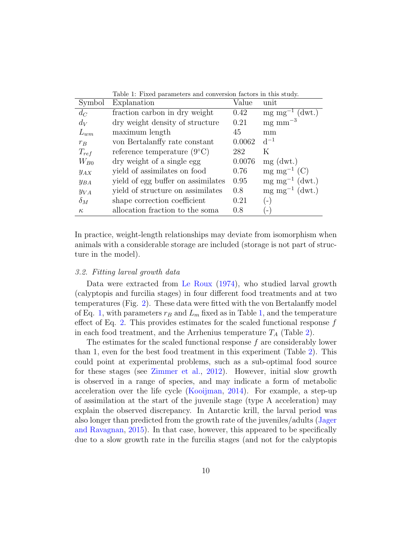<span id="page-9-0"></span>

|            | Table 1: Fixed parameters and conversion factors in this study. |        |                                    |  |  |
|------------|-----------------------------------------------------------------|--------|------------------------------------|--|--|
| Symbol     | Explanation                                                     | Value  | unit                               |  |  |
| $d_C$      | fraction carbon in dry weight                                   | 0.42   | $mg \, mg^{-1}$ (dwt.)             |  |  |
| $d_V$      | dry weight density of structure                                 | 0.21   | $mg$ mm <sup><math>-3</math></sup> |  |  |
| $L_{wm}$   | maximum length                                                  | 45     | mm                                 |  |  |
| $r_B$      | von Bertalanffy rate constant                                   | 0.0062 | $d^{-1}$                           |  |  |
| $T_{ref}$  | reference temperature $(9^{\circ}C)$                            | 282    | Κ                                  |  |  |
| $W_{B0}$   | dry weight of a single egg                                      | 0.0076 | $mg$ (dwt.)                        |  |  |
| $y_{AX}$   | yield of assimilates on food                                    | 0.76   | $mg \, mg^{-1}$ (C)                |  |  |
| $y_{BA}$   | yield of egg buffer on assimilates                              | 0.95   | $mg \, mg^{-1}$ (dwt.)             |  |  |
| $y_{VA}$   | yield of structure on assimilates                               | 0.8    | $mg mg^{-1}$ (dwt.)                |  |  |
| $\delta_M$ | shape correction coefficient                                    | 0.21   | $\left( -\right)$                  |  |  |
| $\kappa$   | allocation fraction to the soma                                 | 0.8    |                                    |  |  |

In practice, weight-length relationships may deviate from isomorphism when animals with a considerable storage are included (storage is not part of structure in the model).

#### 3.2. Fitting larval growth data

Data were extracted from [Le Roux](#page-20-4) [\(1974\)](#page-20-4), who studied larval growth (calyptopis and furcilia stages) in four different food treatments and at two temperatures (Fig. [2\)](#page-10-1). These data were fitted with the von Bertalanffy model of Eq. [1,](#page-9-0) with parameters  $r_B$  and  $L_m$  fixed as in Table 1, and the temperature effect of Eq. [2.](#page-4-0) This provides estimates for the scaled functional response  $f$ in each food treatment, and the Arrhenius temperature  $T_A$  (Table [2\)](#page-11-0).

The estimates for the scaled functional response f are considerably lower than 1, even for the best food treatment in this experiment (Table [2\)](#page-11-0). This could point at experimental problems, such as a sub-optimal food source for these stages (see [Zimmer et al.,](#page-21-7) [2012\)](#page-21-7). However, initial slow growth is observed in a range of species, and may indicate a form of metabolic acceleration over the life cycle [\(Kooijman,](#page-20-9) [2014\)](#page-20-9). For example, a step-up of assimilation at the start of the juvenile stage (type A acceleration) may explain the observed discrepancy. In Antarctic krill, the larval period was also longer than predicted from the growth rate of the juveniles/adults [\(Jager](#page-20-1) [and Ravagnan,](#page-20-1) [2015\)](#page-20-1). In that case, however, this appeared to be specifically due to a slow growth rate in the furcilia stages (and not for the calyptopis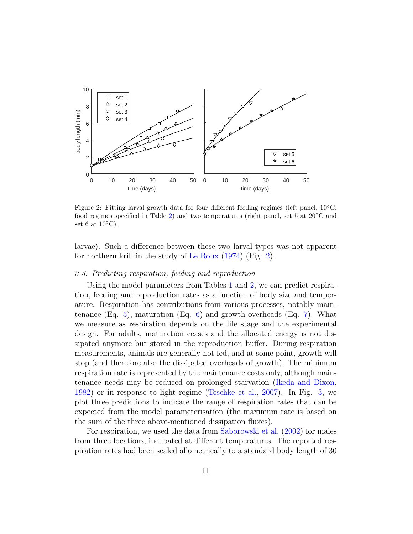

<span id="page-10-1"></span>Figure 2: Fitting larval growth data for four different feeding regimes (left panel, 10◦C, food regimes specified in Table [2\)](#page-11-0) and two temperatures (right panel, set 5 at  $20\textdegree C$  and set 6 at  $10^{\circ}$ C).

larvae). Such a difference between these two larval types was not apparent for northern krill in the study of [Le Roux](#page-20-4) [\(1974\)](#page-20-4) (Fig. [2\)](#page-10-1).

# <span id="page-10-0"></span>3.3. Predicting respiration, feeding and reproduction

Using the model parameters from Tables [1](#page-9-0) and [2,](#page-11-0) we can predict respiration, feeding and reproduction rates as a function of body size and temperature. Respiration has contributions from various processes, notably maintenance  $(Eq. 5)$  $(Eq. 5)$ , maturation  $(Eq. 6)$  $(Eq. 6)$  and growth overheads  $(Eq. 7)$  $(Eq. 7)$ . What we measure as respiration depends on the life stage and the experimental design. For adults, maturation ceases and the allocated energy is not dissipated anymore but stored in the reproduction buffer. During respiration measurements, animals are generally not fed, and at some point, growth will stop (and therefore also the dissipated overheads of growth). The minimum respiration rate is represented by the maintenance costs only, although maintenance needs may be reduced on prolonged starvation [\(Ikeda and Dixon,](#page-19-6) [1982\)](#page-19-6) or in response to light regime [\(Teschke et al.,](#page-21-8) [2007\)](#page-21-8). In Fig. [3,](#page-12-0) we plot three predictions to indicate the range of respiration rates that can be expected from the model parameterisation (the maximum rate is based on the sum of the three above-mentioned dissipation fluxes).

For respiration, we used the data from [Saborowski et al.](#page-21-4) [\(2002\)](#page-21-4) for males from three locations, incubated at different temperatures. The reported respiration rates had been scaled allometrically to a standard body length of 30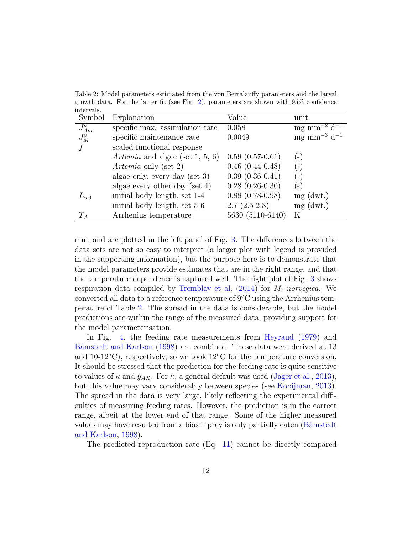<span id="page-11-0"></span>Table 2: Model parameters estimated from the von Bertalanffy parameters and the larval growth data. For the latter fit (see Fig. [2\)](#page-10-1), parameters are shown with 95% confidence intervals.

| Symbol     | Explanation                        | Value                | unit                                    |
|------------|------------------------------------|----------------------|-----------------------------------------|
| $J_{Am}^a$ | specific max. assimilation rate    | 0.058                | $mg \, \text{mm}^{-2} \, \text{d}^{-1}$ |
| $J_M^v$    | specific maintenance rate          | 0.0049               | mg mm <sup>-3</sup> d <sup>-1</sup>     |
|            | scaled functional response         |                      |                                         |
|            | Artemia and algae (set $1, 5, 6$ ) | $0.59(0.57-0.61)$    | $\equiv$                                |
|            | Artemia only (set 2)               | $0.46(0.44-0.48)$    | ( – 1                                   |
|            | algae only, every day (set 3)      | $0.39(0.36-0.41)$    | $\left( -\right)$                       |
|            | algae every other day (set $4$ )   | $0.28$ $(0.26-0.30)$ | $\overline{a}$                          |
| $L_{w0}$   | initial body length, set 1-4       | $0.88$ $(0.78-0.98)$ | $mg$ (dwt.)                             |
|            | initial body length, set 5-6       | $2.7(2.5-2.8)$       | $mg$ (dwt.)                             |
| $T_A$      | Arrhenius temperature              | 5630 (5110-6140)     | Κ                                       |

mm, and are plotted in the left panel of Fig. [3.](#page-12-0) The differences between the data sets are not so easy to interpret (a larger plot with legend is provided in the supporting information), but the purpose here is to demonstrate that the model parameters provide estimates that are in the right range, and that the temperature dependence is captured well. The right plot of Fig. [3](#page-12-0) shows respiration data compiled by [Tremblay et al.](#page-21-5) [\(2014\)](#page-21-5) for M. norvegica. We converted all data to a reference temperature of 9◦C using the Arrhenius temperature of Table [2.](#page-11-0) The spread in the data is considerable, but the model predictions are within the range of the measured data, providing support for the model parameterisation.

In Fig. [4,](#page-12-1) the feeding rate measurements from [Heyraud](#page-19-4) [\(1979\)](#page-19-4) and Båmstedt and Karlson [\(1998\)](#page-18-3) are combined. These data were derived at 13 and 10-12 $°C$ ), respectively, so we took 12 $°C$  for the temperature conversion. It should be stressed that the prediction for the feeding rate is quite sensitive to values of  $\kappa$  and  $y_{AX}$ . For  $\kappa$ , a general default was used [\(Jager et al.,](#page-20-0) [2013\)](#page-20-0), but this value may vary considerably between species (see [Kooijman,](#page-20-10) [2013\)](#page-20-10). The spread in the data is very large, likely reflecting the experimental difficulties of measuring feeding rates. However, the prediction is in the correct range, albeit at the lower end of that range. Some of the higher measured values may have resulted from a bias if prey is only partially eaten (B amstedt [and Karlson,](#page-18-3) [1998\)](#page-18-3).

The predicted reproduction rate (Eq. [11\)](#page-6-0) cannot be directly compared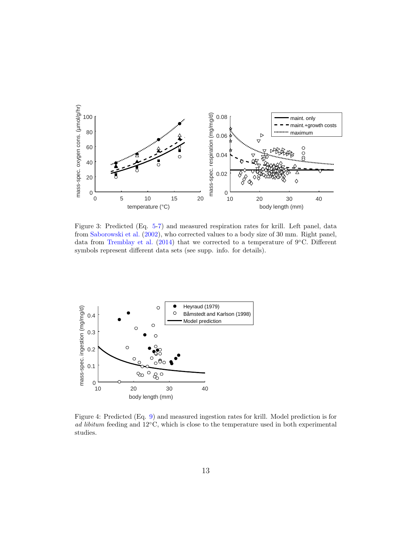

<span id="page-12-0"></span>Figure 3: Predicted (Eq. [5-7\)](#page-5-1) and measured respiration rates for krill. Left panel, data from [Saborowski et al.](#page-21-4) [\(2002\)](#page-21-4), who corrected values to a body size of 30 mm. Right panel, data from [Tremblay et al.](#page-21-5) [\(2014\)](#page-21-5) that we corrected to a temperature of  $9°C$ . Different symbols represent different data sets (see supp. info. for details).



<span id="page-12-1"></span>Figure 4: Predicted (Eq. [9\)](#page-5-2) and measured ingestion rates for krill. Model prediction is for ad libitum feeding and  $12°C$ , which is close to the temperature used in both experimental studies.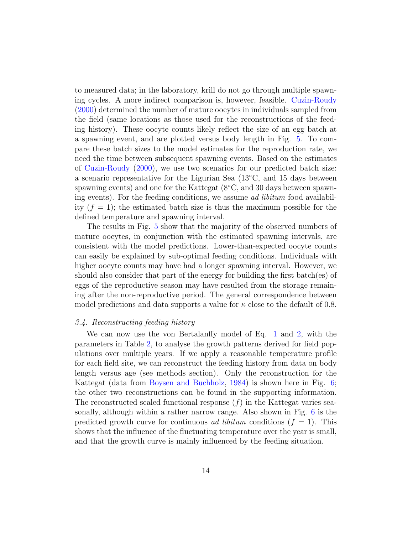to measured data; in the laboratory, krill do not go through multiple spawning cycles. A more indirect comparison is, however, feasible. [Cuzin-Roudy](#page-19-7) [\(2000\)](#page-19-7) determined the number of mature oocytes in individuals sampled from the field (same locations as those used for the reconstructions of the feeding history). These oocyte counts likely reflect the size of an egg batch at a spawning event, and are plotted versus body length in Fig. [5.](#page-14-0) To compare these batch sizes to the model estimates for the reproduction rate, we need the time between subsequent spawning events. Based on the estimates of [Cuzin-Roudy](#page-19-7) [\(2000\)](#page-19-7), we use two scenarios for our predicted batch size: a scenario representative for the Ligurian Sea  $(13°C, 150)$  and 15 days between spawning events) and one for the Kattegat (8<sup>°</sup>C, and 30 days between spawning events). For the feeding conditions, we assume ad libitum food availability  $(f = 1)$ ; the estimated batch size is thus the maximum possible for the defined temperature and spawning interval.

The results in Fig. [5](#page-14-0) show that the majority of the observed numbers of mature oocytes, in conjunction with the estimated spawning intervals, are consistent with the model predictions. Lower-than-expected oocyte counts can easily be explained by sub-optimal feeding conditions. Individuals with higher oocyte counts may have had a longer spawning interval. However, we should also consider that part of the energy for building the first batch(es) of eggs of the reproductive season may have resulted from the storage remaining after the non-reproductive period. The general correspondence between model predictions and data supports a value for  $\kappa$  close to the default of 0.8.

# 3.4. Reconstructing feeding history

We can now use the von Bertalanffy model of Eq. [1](#page-2-0) and [2,](#page-4-0) with the parameters in Table [2,](#page-11-0) to analyse the growth patterns derived for field populations over multiple years. If we apply a reasonable temperature profile for each field site, we can reconstruct the feeding history from data on body length versus age (see methods section). Only the reconstruction for the Kattegat (data from [Boysen and Buchholz,](#page-18-1) [1984\)](#page-18-1) is shown here in Fig. [6;](#page-16-0) the other two reconstructions can be found in the supporting information. The reconstructed scaled functional response  $(f)$  in the Kattegat varies seasonally, although within a rather narrow range. Also shown in Fig. [6](#page-16-0) is the predicted growth curve for continuous *ad libitum* conditions  $(f = 1)$ . This shows that the influence of the fluctuating temperature over the year is small, and that the growth curve is mainly influenced by the feeding situation.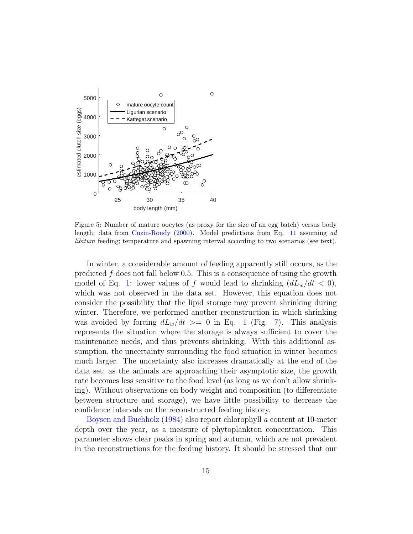

<span id="page-14-0"></span>Figure 5: Number of mature oocytes (as proxy for the size of an egg batch) versus body length; data from [Cuzin-Roudy](#page-19-7) [\(2000\)](#page-19-7). Model predictions from Eq. [11](#page-6-0) assuming ad libitum feeding; temperature and spawning interval according to two scenarios (see text).

In winter, a considerable amount of feeding apparently still occurs, as the predicted  $f$  does not fall below 0.5. This is a consequence of using the growth model of Eq. [1:](#page-2-0) lower values of f would lead to shrinking  $(dL_w/dt < 0)$ , which was not observed in the data set. However, this equation does not consider the possibility that the lipid storage may prevent shrinking during winter. Therefore, we performed another reconstruction in which shrinking was avoided by forcing  $dL_w/dt$  >= 0 in Eq. [1](#page-2-0) (Fig. [7\)](#page-16-1). This analysis represents the situation where the storage is always sufficient to cover the maintenance needs, and thus prevents shrinking. With this additional assumption, the uncertainty surrounding the food situation in winter becomes much larger. The uncertainty also increases dramatically at the end of the data set; as the animals are approaching their asymptotic size, the growth rate becomes less sensitive to the food level (as long as we don't allow shrinking). Without observations on body weight and composition (to differentiate between structure and storage), we have little possibility to decrease the confidence intervals on the reconstructed feeding history.

[Boysen and Buchholz](#page-18-1) [\(1984\)](#page-18-1) also report chlorophyll a content at 10-meter depth over the year, as a measure of phytoplankton concentration. This parameter shows clear peaks in spring and autumn, which are not prevalent in the reconstructions for the feeding history. It should be stressed that our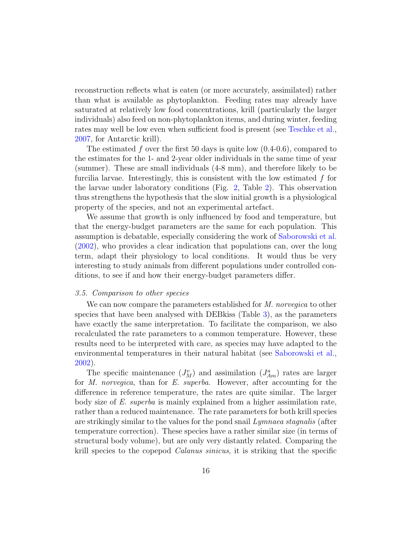reconstruction reflects what is eaten (or more accurately, assimilated) rather than what is available as phytoplankton. Feeding rates may already have saturated at relatively low food concentrations, krill (particularly the larger individuals) also feed on non-phytoplankton items, and during winter, feeding rates may well be low even when sufficient food is present (see [Teschke et al.,](#page-21-8) [2007,](#page-21-8) for Antarctic krill).

The estimated f over the first 50 days is quite low  $(0.4-0.6)$ , compared to the estimates for the 1- and 2-year older individuals in the same time of year (summer). These are small individuals (4-8 mm), and therefore likely to be furcilia larvae. Interestingly, this is consistent with the low estimated f for the larvae under laboratory conditions (Fig. [2,](#page-10-1) Table [2\)](#page-11-0). This observation thus strengthens the hypothesis that the slow initial growth is a physiological property of the species, and not an experimental artefact.

We assume that growth is only influenced by food and temperature, but that the energy-budget parameters are the same for each population. This assumption is debatable, especially considering the work of [Saborowski et al.](#page-21-4) [\(2002\)](#page-21-4), who provides a clear indication that populations can, over the long term, adapt their physiology to local conditions. It would thus be very interesting to study animals from different populations under controlled conditions, to see if and how their energy-budget parameters differ.

#### 3.5. Comparison to other species

We can now compare the parameters established for M. norvegica to other species that have been analysed with DEBkiss (Table [3\)](#page-17-0), as the parameters have exactly the same interpretation. To facilitate the comparison, we also recalculated the rate parameters to a common temperature. However, these results need to be interpreted with care, as species may have adapted to the environmental temperatures in their natural habitat (see [Saborowski et al.,](#page-21-4) [2002\)](#page-21-4).

The specific maintenance  $(J_M^v)$  and assimilation  $(J_{Am}^a)$  rates are larger for M. norvegica, than for E. superba. However, after accounting for the difference in reference temperature, the rates are quite similar. The larger body size of E. superba is mainly explained from a higher assimilation rate, rather than a reduced maintenance. The rate parameters for both krill species are strikingly similar to the values for the pond snail Lymnaea stagnalis (after temperature correction). These species have a rather similar size (in terms of structural body volume), but are only very distantly related. Comparing the krill species to the copepod *Calanus sinicus*, it is striking that the specific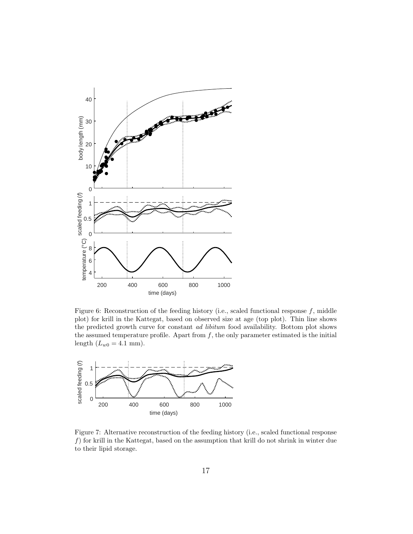

<span id="page-16-0"></span>Figure 6: Reconstruction of the feeding history (i.e., scaled functional response  $f$ , middle plot) for krill in the Kattegat, based on observed size at age (top plot). Thin line shows the predicted growth curve for constant *ad libitum* food availability. Bottom plot shows the assumed temperature profile. Apart from  $f$ , the only parameter estimated is the initial length  $(L_{w0} = 4.1$  mm).



<span id="page-16-1"></span>Figure 7: Alternative reconstruction of the feeding history (i.e., scaled functional response  $f$ ) for krill in the Kattegat, based on the assumption that krill do not shrink in winter due to their lipid storage.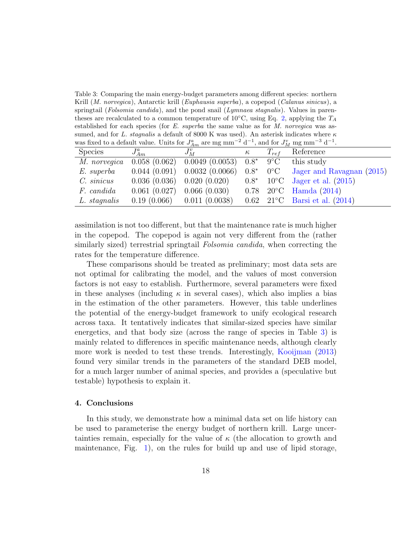<span id="page-17-0"></span>Table 3: Comparing the main energy-budget parameters among different species: northern Krill (M. norvegica), Antarctic krill (Euphausia superba), a copepod (Calanus sinicus), a springtail (*Folsomia candida*), and the pond snail (*Lymnaea stagnalis*). Values in parentheses are recalculated to a common temperature of  $10°C$ , using Eq. [2,](#page-4-0) applying the  $T_A$ established for each species (for  $E.$  superba the same value as for  $M.$  norvegica was assumed, and for L. stagnalis a default of 8000 K was used). An asterisk indicates where  $\kappa$ was fixed to a default value. Units for  $J_{Am}^a$  are mg mm<sup>-2</sup> d<sup>-1</sup>, and for  $J_M^v$  mg mm<sup>-3</sup> d<sup>-1</sup>.

| was more to a definite value. Then for $\sigma_{Am}$ are mg mm $\alpha$ , which for $\sigma_M$ mg mm $\alpha$ . |              |                                                                                                |          |           |                                                                    |
|-----------------------------------------------------------------------------------------------------------------|--------------|------------------------------------------------------------------------------------------------|----------|-----------|--------------------------------------------------------------------|
| <b>Species</b>                                                                                                  | $J_{Am}^a$   | $J_M^v$                                                                                        | $\kappa$ | $T_{ref}$ | Reference                                                          |
|                                                                                                                 |              | <i>M. norvegica</i> $(0.058)(0.062)$ $(0.0049)(0.0053)$ $0.8^*$ $9^{\circ}\text{C}$ this study |          |           |                                                                    |
| E. superba                                                                                                      |              |                                                                                                |          |           | $0.044$ (0.091) 0.0032 (0.0066) 0.8* 0°C Jager and Ravagnan (2015) |
| $C. \; sinicus$                                                                                                 |              | $0.036(0.036)$ $0.020(0.020)$ $0.8^*$                                                          |          |           | $10^{\circ}$ C Jager et al. (2015)                                 |
| F. candida                                                                                                      | 0.061(0.027) | 0.066(0.030)                                                                                   |          |           | $0.78$ 20°C Hamda (2014)                                           |
| L. stagnalis                                                                                                    |              | $0.19(0.066)$ $0.011(0.0038)$                                                                  |          |           | 0.62 $21^{\circ}$ C Barsi et al. (2014)                            |

assimilation is not too different, but that the maintenance rate is much higher in the copepod. The copepod is again not very different from the (rather similarly sized) terrestrial springtail *Folsomia candida*, when correcting the rates for the temperature difference.

These comparisons should be treated as preliminary; most data sets are not optimal for calibrating the model, and the values of most conversion factors is not easy to establish. Furthermore, several parameters were fixed in these analyses (including  $\kappa$  in several cases), which also implies a bias in the estimation of the other parameters. However, this table underlines the potential of the energy-budget framework to unify ecological research across taxa. It tentatively indicates that similar-sized species have similar energetics, and that body size (across the range of species in Table [3\)](#page-17-0) is mainly related to differences in specific maintenance needs, although clearly more work is needed to test these trends. Interestingly, [Kooijman](#page-20-10) [\(2013\)](#page-20-10) found very similar trends in the parameters of the standard DEB model, for a much larger number of animal species, and provides a (speculative but testable) hypothesis to explain it.

## 4. Conclusions

In this study, we demonstrate how a minimal data set on life history can be used to parameterise the energy budget of northern krill. Large uncertainties remain, especially for the value of  $\kappa$  (the allocation to growth and maintenance, Fig. [1\)](#page-3-0), on the rules for build up and use of lipid storage,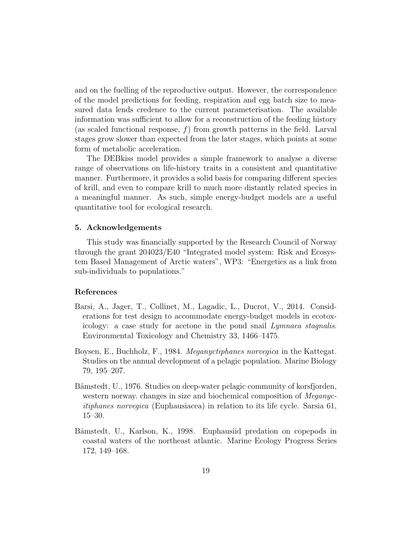and on the fuelling of the reproductive output. However, the correspondence of the model predictions for feeding, respiration and egg batch size to measured data lends credence to the current parameterisation. The available information was sufficient to allow for a reconstruction of the feeding history (as scaled functional response,  $f$ ) from growth patterns in the field. Larval stages grow slower than expected from the later stages, which points at some form of metabolic acceleration.

The DEBkiss model provides a simple framework to analyse a diverse range of observations on life-history traits in a consistent and quantitative manner. Furthermore, it provides a solid basis for comparing different species of krill, and even to compare krill to much more distantly related species in a meaningful manner. As such, simple energy-budget models are a useful quantitative tool for ecological research.

## 5. Acknowledgements

This study was financially supported by the Research Council of Norway through the grant 204023/E40 "Integrated model system: Risk and Ecosystem Based Management of Arctic waters", WP3: "Energetics as a link from sub-individuals to populations."

# References

- <span id="page-18-0"></span>Barsi, A., Jager, T., Collinet, M., Lagadic, L., Ducrot, V., 2014. Considerations for test design to accommodate energy-budget models in ecotoxicology: a case study for acetone in the pond snail Lymnaea stagnalis. Environmental Toxicology and Chemistry 33, 1466–1475.
- <span id="page-18-1"></span>Boysen, E., Buchholz, F., 1984. Meganyctiphanes norvegica in the Kattegat. Studies on the annual development of a pelagic population. Marine Biology 79, 195–207.
- <span id="page-18-2"></span>Båmstedt, U., 1976. Studies on deep-water pelagic community of korsfjorden, western norway. changes in size and biochemical composition of *Meganyc*itiphanes norvegica (Euphausiacea) in relation to its life cycle. Sarsia 61, 15–30.
- <span id="page-18-3"></span>Båmstedt, U., Karlson, K., 1998. Euphausiid predation on copepods in coastal waters of the northeast atlantic. Marine Ecology Progress Series 172, 149–168.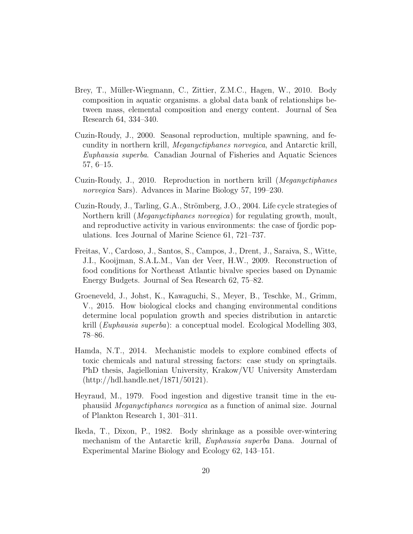- <span id="page-19-3"></span>Brey, T., Müller-Wiegmann, C., Zittier, Z.M.C., Hagen, W., 2010. Body composition in aquatic organisms. a global data bank of relationships between mass, elemental composition and energy content. Journal of Sea Research 64, 334–340.
- <span id="page-19-7"></span>Cuzin-Roudy, J., 2000. Seasonal reproduction, multiple spawning, and fecundity in northern krill, Meganyctiphanes norvegica, and Antarctic krill, Euphausia superba. Canadian Journal of Fisheries and Aquatic Sciences 57, 6–15.
- <span id="page-19-5"></span>Cuzin-Roudy, J., 2010. Reproduction in northern krill (Meganyctiphanes norvegica Sars). Advances in Marine Biology 57, 199–230.
- <span id="page-19-0"></span>Cuzin-Roudy, J., Tarling, G.A., Strömberg, J.O., 2004. Life cycle strategies of Northern krill (Meganyctiphanes norvegica) for regulating growth, moult, and reproductive activity in various environments: the case of fjordic populations. Ices Journal of Marine Science 61, 721–737.
- <span id="page-19-1"></span>Freitas, V., Cardoso, J., Santos, S., Campos, J., Drent, J., Saraiva, S., Witte, J.I., Kooijman, S.A.L.M., Van der Veer, H.W., 2009. Reconstruction of food conditions for Northeast Atlantic bivalve species based on Dynamic Energy Budgets. Journal of Sea Research 62, 75–82.
- <span id="page-19-2"></span>Groeneveld, J., Johst, K., Kawaguchi, S., Meyer, B., Teschke, M., Grimm, V., 2015. How biological clocks and changing environmental conditions determine local population growth and species distribution in antarctic krill (Euphausia superba): a conceptual model. Ecological Modelling 303, 78–86.
- <span id="page-19-8"></span>Hamda, N.T., 2014. Mechanistic models to explore combined effects of toxic chemicals and natural stressing factors: case study on springtails. PhD thesis, Jagiellonian University, Krakow/VU University Amsterdam (http://hdl.handle.net/1871/50121).
- <span id="page-19-4"></span>Heyraud, M., 1979. Food ingestion and digestive transit time in the euphausiid Meganyctiphanes norvegica as a function of animal size. Journal of Plankton Research 1, 301–311.
- <span id="page-19-6"></span>Ikeda, T., Dixon, P., 1982. Body shrinkage as a possible over-wintering mechanism of the Antarctic krill, Euphausia superba Dana. Journal of Experimental Marine Biology and Ecology 62, 143–151.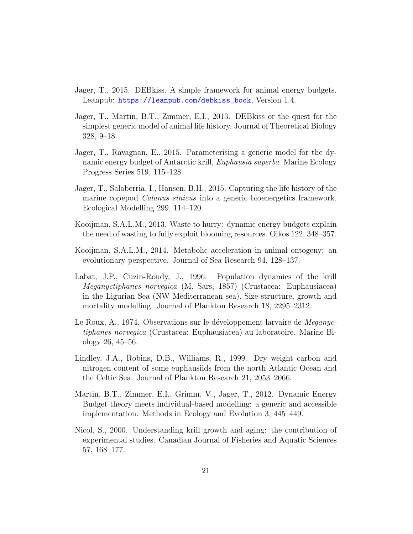- <span id="page-20-7"></span>Jager, T., 2015. DEBkiss. A simple framework for animal energy budgets. Leanpub: [https://leanpub.com/debkiss\\_book](https://leanpub.com/debkiss_book), Version 1.4.
- <span id="page-20-0"></span>Jager, T., Martin, B.T., Zimmer, E.I., 2013. DEBkiss or the quest for the simplest generic model of animal life history. Journal of Theoretical Biology 328, 9–18.
- <span id="page-20-1"></span>Jager, T., Ravagnan, E., 2015. Parameterising a generic model for the dynamic energy budget of Antarctic krill, Euphausia superba. Marine Ecology Progress Series 519, 115–128.
- <span id="page-20-2"></span>Jager, T., Salaberria, I., Hansen, B.H., 2015. Capturing the life history of the marine copepod *Calanus sinicus* into a generic bioenergetics framework. Ecological Modelling 299, 114–120.
- <span id="page-20-10"></span>Kooijman, S.A.L.M., 2013. Waste to hurry: dynamic energy budgets explain the need of wasting to fully exploit blooming resources. Oikos 122, 348–357.
- <span id="page-20-9"></span>Kooijman, S.A.L.M., 2014. Metabolic acceleration in animal ontogeny: an evolutionary perspective. Journal of Sea Research 94, 128–137.
- <span id="page-20-5"></span>Labat, J.P., Cuzin-Roudy, J., 1996. Population dynamics of the krill Meganyctiphanes norvegica (M. Sars, 1857) (Crustacea: Euphausiacea) in the Ligurian Sea (NW Mediterranean sea). Size structure, growth and mortality modelling. Journal of Plankton Research 18, 2295–2312.
- <span id="page-20-4"></span>Le Roux, A., 1974. Observations sur le développement larvaire de *Meganyc*tiphanes norvegica (Crustacea: Euphausiacea) au laboratoire. Marine Biology 26, 45–56.
- <span id="page-20-8"></span>Lindley, J.A., Robins, D.B., Williams, R., 1999. Dry weight carbon and nitrogen content of some euphausiids from the north Atlantic Ocean and the Celtic Sea. Journal of Plankton Research 21, 2053–2066.
- <span id="page-20-6"></span>Martin, B.T., Zimmer, E.I., Grimm, V., Jager, T., 2012. Dynamic Energy Budget theory meets individual-based modelling: a generic and accessible implementation. Methods in Ecology and Evolution 3, 445–449.
- <span id="page-20-3"></span>Nicol, S., 2000. Understanding krill growth and aging: the contribution of experimental studies. Canadian Journal of Fisheries and Aquatic Sciences 57, 168–177.